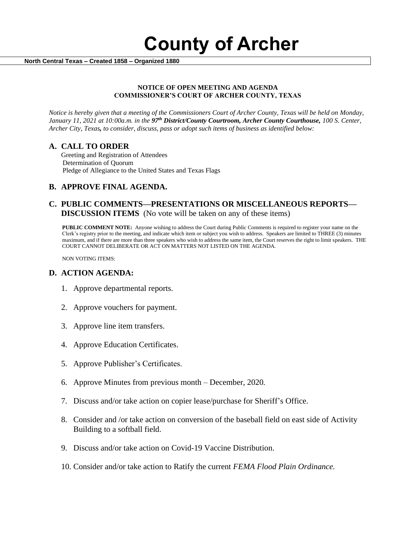**County of Archer** 

 **North Central Texas – Created 1858 – Organized 1880**

#### **NOTICE OF OPEN MEETING AND AGENDA COMMISSIONER'S COURT OF ARCHER COUNTY, TEXAS**

*Notice is hereby given that a meeting of the Commissioners Court of Archer County, Texas will be held on Monday, January 11, 2021 at 10:00a.m. in the 97th District/County Courtroom, Archer County Courthouse, 100 S. Center, Archer City, Texas, to consider, discuss, pass or adopt such items of business as identified below:*

#### **A. CALL TO ORDER**

 Greeting and Registration of Attendees Determination of Quorum Pledge of Allegiance to the United States and Texas Flags

# **B. APPROVE FINAL AGENDA.**

# **C. PUBLIC COMMENTS—PRESENTATIONS OR MISCELLANEOUS REPORTS— DISCUSSION ITEMS** (No vote will be taken on any of these items)

**PUBLIC COMMENT NOTE:** Anyone wishing to address the Court during Public Comments is required to register your name on the Clerk's registry prior to the meeting, and indicate which item or subject you wish to address. Speakers are limited to THREE (3) minutes maximum, and if there are more than three speakers who wish to address the same item, the Court reserves the right to limit speakers. THE COURT CANNOT DELIBERATE OR ACT ON MATTERS NOT LISTED ON THE AGENDA.

NON VOTING ITEMS:

### **D. ACTION AGENDA:**

- 1. Approve departmental reports.
- 2. Approve vouchers for payment.
- 3. Approve line item transfers.
- 4. Approve Education Certificates.
- 5. Approve Publisher's Certificates.
- 6. Approve Minutes from previous month December, 2020*.*
- 7. Discuss and/or take action on copier lease/purchase for Sheriff's Office.
- 8. Consider and /or take action on conversion of the baseball field on east side of Activity Building to a softball field.
- 9. Discuss and/or take action on Covid-19 Vaccine Distribution.
- 10. Consider and/or take action to Ratify the current *FEMA Flood Plain Ordinance.*